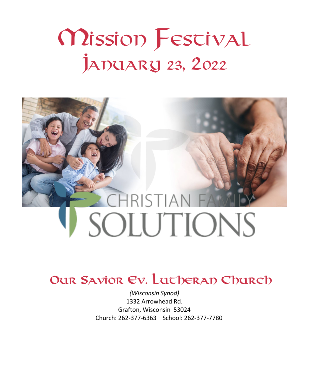# Mission Festival January 23, 2022



## **Our Savior Ev. Lutheran Church**

*(Wisconsin Synod)* 1332 Arrowhead Rd. Grafton, Wisconsin 53024 Church: 262-377-6363 School: 262-377-7780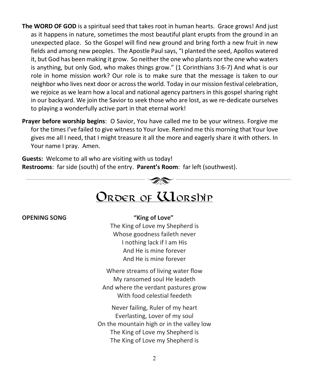- **The WORD OF GOD** is a spiritual seed that takes root in human hearts. Grace grows! And just as it happens in nature, sometimes the most beautiful plant erupts from the ground in an unexpected place. So the Gospel will find new ground and bring forth a new fruit in new fields and among new peoples. The Apostle Paul says, "I planted the seed, Apollos watered it, but God has been making it grow. So neither the one who plants nor the one who waters is anything, but only God, who makes things grow." (1 Corinthians 3:6-7) And what is our role in home mission work? Our role is to make sure that the message is taken to our neighbor who lives next door or across the world. Today in our mission festival celebration, we rejoice as we learn how a local and national agency partners in this gospel sharing right in our backyard. We join the Savior to seek those who are lost, as we re-dedicate ourselves to playing a wonderfully active part in that eternal work!
- **Prayer before worship begins**: O Savior, You have called me to be your witness. Forgive me for the times I've failed to give witness to Your love. Remind me this morning that Your love gives me all I need, that I might treasure it all the more and eagerly share it with others. In Your name I pray. Amen.

**Guests:** Welcome to all who are visiting with us today! **Restrooms**: far side (south) of the entry. **Parent's Room**: far left (southwest).



## ORDER OF WORSHIP

#### **OPENING SONG "King of Love"**

The King of Love my Shepherd is Whose goodness faileth never I nothing lack if I am His And He is mine forever And He is mine forever

Where streams of living water flow My ransomed soul He leadeth And where the verdant pastures grow With food celestial feedeth

Never failing, Ruler of my heart Everlasting, Lover of my soul On the mountain high or in the valley low The King of Love my Shepherd is The King of Love my Shepherd is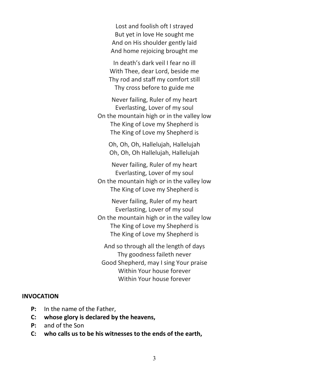Lost and foolish oft I strayed But yet in love He sought me And on His shoulder gently laid And home rejoicing brought me

In death's dark veil I fear no ill With Thee, dear Lord, beside me Thy rod and staff my comfort still Thy cross before to guide me

Never failing, Ruler of my heart Everlasting, Lover of my soul On the mountain high or in the valley low The King of Love my Shepherd is The King of Love my Shepherd is

Oh, Oh, Oh, Hallelujah, Hallelujah Oh, Oh, Oh Hallelujah, Hallelujah

Never failing, Ruler of my heart Everlasting, Lover of my soul On the mountain high or in the valley low The King of Love my Shepherd is

Never failing, Ruler of my heart Everlasting, Lover of my soul On the mountain high or in the valley low The King of Love my Shepherd is The King of Love my Shepherd is

And so through all the length of days Thy goodness faileth never Good Shepherd, may I sing Your praise Within Your house forever Within Your house forever

#### **INVOCATION**

- **P:** In the name of the Father,
- **C: whose glory is declared by the heavens,**
- **P:** and of the Son
- **C: who calls us to be his witnesses to the ends of the earth,**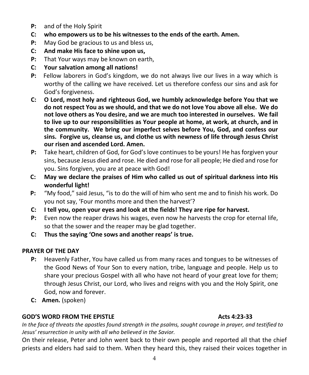- **P:** and of the Holy Spirit
- **C: who empowers us to be his witnesses to the ends of the earth. Amen.**
- **P:** May God be gracious to us and bless us,
- **C: And make His face to shine upon us,**
- **P:** That Your ways may be known on earth,
- **C: Your salvation among all nations!**
- **P:** Fellow laborers in God's kingdom, we do not always live our lives in a way which is worthy of the calling we have received. Let us therefore confess our sins and ask for God's forgiveness.
- **C: O Lord, most holy and righteous God, we humbly acknowledge before You that we do not respect You as we should, and that we do not love You above all else. We do not love others as You desire, and we are much too interested in ourselves. We fail to live up to our responsibilities as Your people at home, at work, at church, and in the community. We bring our imperfect selves before You, God, and confess our sins. Forgive us, cleanse us, and clothe us with newness of life through Jesus Christ our risen and ascended Lord. Amen.**
- **P:** Take heart, children of God, for God's love continues to be yours! He has forgiven your sins, because Jesus died and rose. He died and rose for all people; He died and rose for you. Sins forgiven, you are at peace with God!
- **C: May we declare the praises of Him who called us out of spiritual darkness into His wonderful light!**
- **P:** "My food," said Jesus, "is to do the will of him who sent me and to finish his work. Do you not say, 'Four months more and then the harvest'?
- **C: I tell you, open your eyes and look at the fields! They are ripe for harvest.**
- **P:** Even now the reaper draws his wages, even now he harvests the crop for eternal life, so that the sower and the reaper may be glad together.
- **C: Thus the saying 'One sows and another reaps' is true.**

## **PRAYER OF THE DAY**

- **P:** Heavenly Father, You have called us from many races and tongues to be witnesses of the Good News of Your Son to every nation, tribe, language and people. Help us to share your precious Gospel with all who have not heard of your great love for them; through Jesus Christ, our Lord, who lives and reigns with you and the Holy Spirit, one God, now and forever.
- **C: Amen.** (spoken)

## **GOD'S WORD FROM THE EPISTLE Acts 4:23-33**

*In the face of threats the apostles found strength in the psalms, sought courage in prayer, and testified to Jesus' resurrection in unity with all who believed in the Savior.*

On their release, Peter and John went back to their own people and reported all that the chief priests and elders had said to them. When they heard this, they raised their voices together in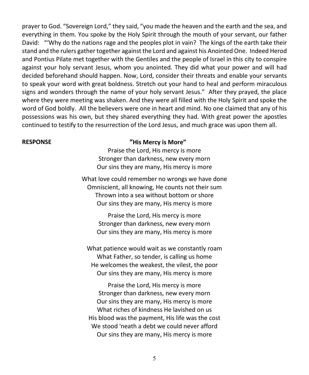prayer to God. "Sovereign Lord," they said, "you made the heaven and the earth and the sea, and everything in them. You spoke by the Holy Spirit through the mouth of your servant, our father David: "'Why do the nations rage and the peoples plot in vain? The kings of the earth take their stand and the rulers gather together against the Lord and against his Anointed One. Indeed Herod and Pontius Pilate met together with the Gentiles and the people of Israel in this city to conspire against your holy servant Jesus, whom you anointed. They did what your power and will had decided beforehand should happen. Now, Lord, consider their threats and enable your servants to speak your word with great boldness. Stretch out your hand to heal and perform miraculous signs and wonders through the name of your holy servant Jesus." After they prayed, the place where they were meeting was shaken. And they were all filled with the Holy Spirit and spoke the word of God boldly. All the believers were one in heart and mind. No one claimed that any of his possessions was his own, but they shared everything they had. With great power the apostles continued to testify to the resurrection of the Lord Jesus, and much grace was upon them all.

#### **RESPONSE "His Mercy is More"**

Praise the Lord, His mercy is more Stronger than darkness, new every morn Our sins they are many, His mercy is more

What love could remember no wrongs we have done Omniscient, all knowing, He counts not their sum Thrown into a sea without bottom or shore Our sins they are many, His mercy is more

Praise the Lord, His mercy is more Stronger than darkness, new every morn Our sins they are many, His mercy is more

What patience would wait as we constantly roam What Father, so tender, is calling us home He welcomes the weakest, the vilest, the poor Our sins they are many, His mercy is more

Praise the Lord, His mercy is more Stronger than darkness, new every morn Our sins they are many, His mercy is more What riches of kindness He lavished on us His blood was the payment, His life was the cost We stood 'neath a debt we could never afford Our sins they are many, His mercy is more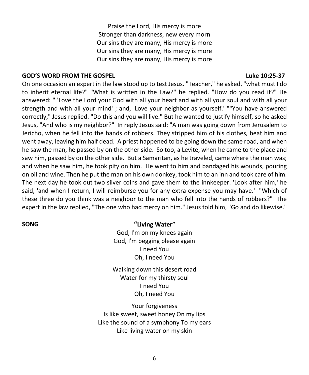Praise the Lord, His mercy is more Stronger than darkness, new every morn Our sins they are many, His mercy is more Our sins they are many, His mercy is more Our sins they are many, His mercy is more

#### GOD'S WORD FROM THE GOSPEL **A COMPLETE SERVICE 2008** Luke 10:25-37

On one occasion an expert in the law stood up to test Jesus. "Teacher," he asked, "what must I do to inherit eternal life?" "What is written in the Law?" he replied. "How do you read it?" He answered: " 'Love the Lord your God with all your heart and with all your soul and with all your strength and with all your mind' ; and, 'Love your neighbor as yourself.' ""You have answered correctly," Jesus replied. "Do this and you will live." But he wanted to justify himself, so he asked Jesus, "And who is my neighbor?" In reply Jesus said: "A man was going down from Jerusalem to Jericho, when he fell into the hands of robbers. They stripped him of his clothes, beat him and went away, leaving him half dead. A priest happened to be going down the same road, and when he saw the man, he passed by on the other side. So too, a Levite, when he came to the place and saw him, passed by on the other side. But a Samaritan, as he traveled, came where the man was; and when he saw him, he took pity on him. He went to him and bandaged his wounds, pouring on oil and wine. Then he put the man on his own donkey, took him to an inn and took care of him. The next day he took out two silver coins and gave them to the innkeeper. 'Look after him,' he said, 'and when I return, I will reimburse you for any extra expense you may have.' "Which of these three do you think was a neighbor to the man who fell into the hands of robbers?" The expert in the law replied, "The one who had mercy on him." Jesus told him, "Go and do likewise."

#### **SONG "Living Water"**

God, I'm on my knees again God, I'm begging please again I need You Oh, I need You

Walking down this desert road Water for my thirsty soul I need You Oh, I need You

Your forgiveness Is like sweet, sweet honey On my lips Like the sound of a symphony To my ears Like living water on my skin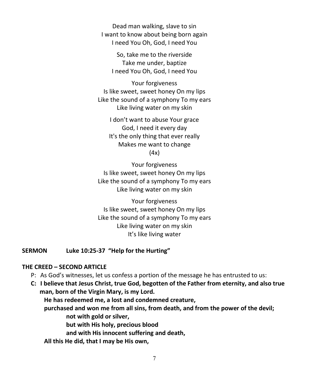Dead man walking, slave to sin I want to know about being born again I need You Oh, God, I need You

So, take me to the riverside Take me under, baptize I need You Oh, God, I need You

Your forgiveness Is like sweet, sweet honey On my lips Like the sound of a symphony To my ears Like living water on my skin

I don't want to abuse Your grace God, I need it every day It's the only thing that ever really Makes me want to change (4x)

Your forgiveness Is like sweet, sweet honey On my lips Like the sound of a symphony To my ears Like living water on my skin

Your forgiveness Is like sweet, sweet honey On my lips Like the sound of a symphony To my ears Like living water on my skin It's like living water

**SERMON Luke 10:25-37 "Help for the Hurting"**

#### **THE CREED – SECOND ARTICLE**

- P: As God's witnesses, let us confess a portion of the message he has entrusted to us:
- **C: I believe that Jesus Christ, true God, begotten of the Father from eternity, and also true man, born of the Virgin Mary, is my Lord.**

**He has redeemed me, a lost and condemned creature,** 

**purchased and won me from all sins, from death, and from the power of the devil; not with gold or silver,** 

**but with His holy, precious blood** 

**and with His innocent suffering and death,** 

**All this He did, that I may be His own,**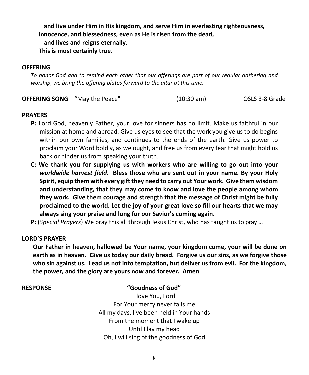**and live under Him in His kingdom, and serve Him in everlasting righteousness, innocence, and blessedness, even as He is risen from the dead, and lives and reigns eternally. This is most certainly true.**

#### **OFFERING**

*To honor God and to remind each other that our offerings are part of our regular gathering and worship, we bring the offering plates forward to the altar at this time.*

**OFFERING SONG** "May the Peace" (10:30 am) OSLS 3-8 Grade

#### **PRAYERS**

- **P:** Lord God, heavenly Father, your love for sinners has no limit. Make us faithful in our mission at home and abroad. Give us eyes to see that the work you give us to do begins within our own families, and continues to the ends of the earth. Give us power to proclaim your Word boldly, as we ought, and free us from every fear that might hold us back or hinder us from speaking your truth.
- **C: We thank you for supplying us with workers who are willing to go out into your**  *worldwide harvest field***. Bless those who are sent out in your name. By your Holy Spirit, equip them with every gift they need to carry out Your work. Give them wisdom and understanding, that they may come to know and love the people among whom they work. Give them courage and strength that the message of Christ might be fully proclaimed to the world. Let the joy of your great love so fill our hearts that we may always sing your praise and long for our Savior's coming again.**
- **P:** (*Special Prayers*) We pray this all through Jesus Christ, who has taught us to pray …

#### **LORD'S PRAYER**

**Our Father in heaven, hallowed be Your name, your kingdom come, your will be done on earth as in heaven. Give us today our daily bread. Forgive us our sins, as we forgive those who sin against us. Lead us not into temptation, but deliver us from evil. For the kingdom, the power, and the glory are yours now and forever. Amen**

#### **RESPONSE "Goodness of God"**

I love You, Lord For Your mercy never fails me All my days, I've been held in Your hands From the moment that I wake up Until I lay my head Oh, I will sing of the goodness of God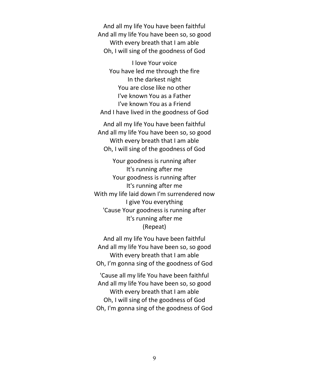And all my life You have been faithful And all my life You have been so, so good With every breath that I am able Oh, I will sing of the goodness of God

I love Your voice You have led me through the fire In the darkest night You are close like no other I've known You as a Father I've known You as a Friend And I have lived in the goodness of God

And all my life You have been faithful And all my life You have been so, so good With every breath that I am able Oh, I will sing of the goodness of God

Your goodness is running after It's running after me Your goodness is running after It's running after me With my life laid down I'm surrendered now I give You everything 'Cause Your goodness is running after It's running after me (Repeat)

And all my life You have been faithful And all my life You have been so, so good With every breath that I am able Oh, I'm gonna sing of the goodness of God

'Cause all my life You have been faithful And all my life You have been so, so good With every breath that I am able Oh, I will sing of the goodness of God Oh, I'm gonna sing of the goodness of God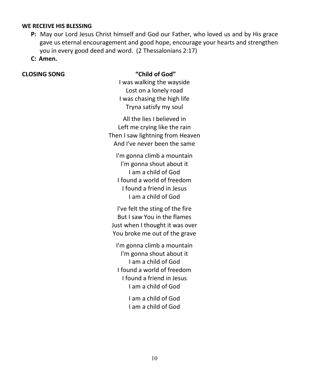#### **WE RECEIVE HIS BLESSING**

- **P:** May our Lord Jesus Christ himself and God our Father, who loved us and by His grace gave us eternal encouragement and good hope, encourage your hearts and strengthen you in every good deed and word. (2 Thessalonians 2:17)
- **C: Amen.**

#### **CLOSING SONG "Child of God"**

I was walking the wayside Lost on a lonely road I was chasing the high life Tryna satisfy my soul

All the lies I believed in Left me crying like the rain Then I saw lightning from Heaven And I've never been the same

I'm gonna climb a mountain I'm gonna shout about it I am a child of God I found a world of freedom I found a friend in Jesus I am a child of God

I've felt the sting of the fire But I saw You in the flames Just when I thought it was over You broke me out of the grave

I'm gonna climb a mountain I'm gonna shout about it I am a child of God I found a world of freedom I found a friend in Jesus I am a child of God

> I am a child of God I am a child of God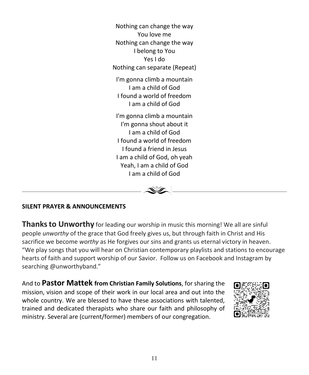Nothing can change the way You love me Nothing can change the way I belong to You Yes I do Nothing can separate (Repeat) I'm gonna climb a mountain I am a child of God I found a world of freedom I am a child of God I'm gonna climb a mountain I'm gonna shout about it I am a child of God I found a world of freedom I found a friend in Jesus I am a child of God, oh yeah Yeah, I am a child of God I am a child of God



## **SILENT PRAYER & ANNOUNCEMENTS**

**Thanks to Unworthy** for leading our worship in music this morning! We all are sinful people *unworthy* of the grace that God freely gives us, but through faith in Christ and His sacrifice we become *worthy* as He forgives our sins and grants us eternal victory in heaven. "We play songs that you will hear on Christian contemporary playlists and stations to encourage hearts of faith and support worship of our Savior. Follow us on Facebook and Instagram by searching @unworthyband."

And to **Pastor Mattek from Christian Family Solutions**, for sharing the mission, vision and scope of their work in our local area and out into the whole country. We are blessed to have these associations with talented, trained and dedicated therapists who share our faith and philosophy of ministry. Several are (current/former) members of our congregation.